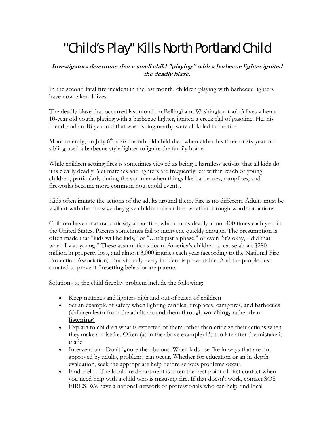## "Child's Play" Kills North Portland Child

**Investigators determine that a small child "playing" with a barbecue lighter ignited the deadly blaze.**

In the second fatal fire incident in the last month, children playing with barbecue lighters have now taken 4 lives.

The deadly blaze that occurred last month in Bellingham, Washington took 3 lives when a 10-year old youth, playing with a barbecue lighter, ignited a creek full of gasoline. He, his friend, and an 18-year old that was fishing nearby were all killed in the fire.

More recently, on July  $6<sup>th</sup>$ , a six-month-old child died when either his three or six-year-old sibling used a barbecue style lighter to ignite the family home.

While children setting fires is sometimes viewed as being a harmless activity that all kids do, it is clearly deadly. Yet matches and lighters are frequently left within reach of young children, particularly during the summer when things like barbecues, campfires, and fireworks become more common household events.

Kids often imitate the actions of the adults around them. Fire is no different. Adults must be vigilant with the message they give children about fire, whether through words or actions.

Children have a natural curiosity about fire, which turns deadly about 400 times each year in the United States. Parents sometimes fail to intervene quickly enough. The presumption is often made that "kids will be kids," or "…it's just a phase," or even "it's okay, I did that when I was young." These assumptions doom America's children to cause about \$280 million in property loss, and almost 3,000 injuries each year (according to the National Fire Protection Association). But virtually every incident is preventable. And the people best situated to prevent firesetting behavior are parents.

Solutions to the child fireplay problem include the following:

- Keep matches and lighters high and out of reach of children
- Set an example of safety when lighting candles, fireplaces, campfires, and barbecues (children learn from the adults around them through **watching,** rather than **listening**)
- Explain to children what is expected of them rather than criticize their actions when they make a mistake. Often (as in the above example) it's too late after the mistake is made
- Intervention Don't ignore the obvious. When kids use fire in ways that are not approved by adults, problems can occur. Whether for education or an in-depth evaluation, seek the appropriate help before serious problems occur.
- Find Help The local fire department is often the best point of first contact when you need help with a child who is misusing fire. If that doesn't work, contact SOS FIRES. We have a national network of professionals who can help find local